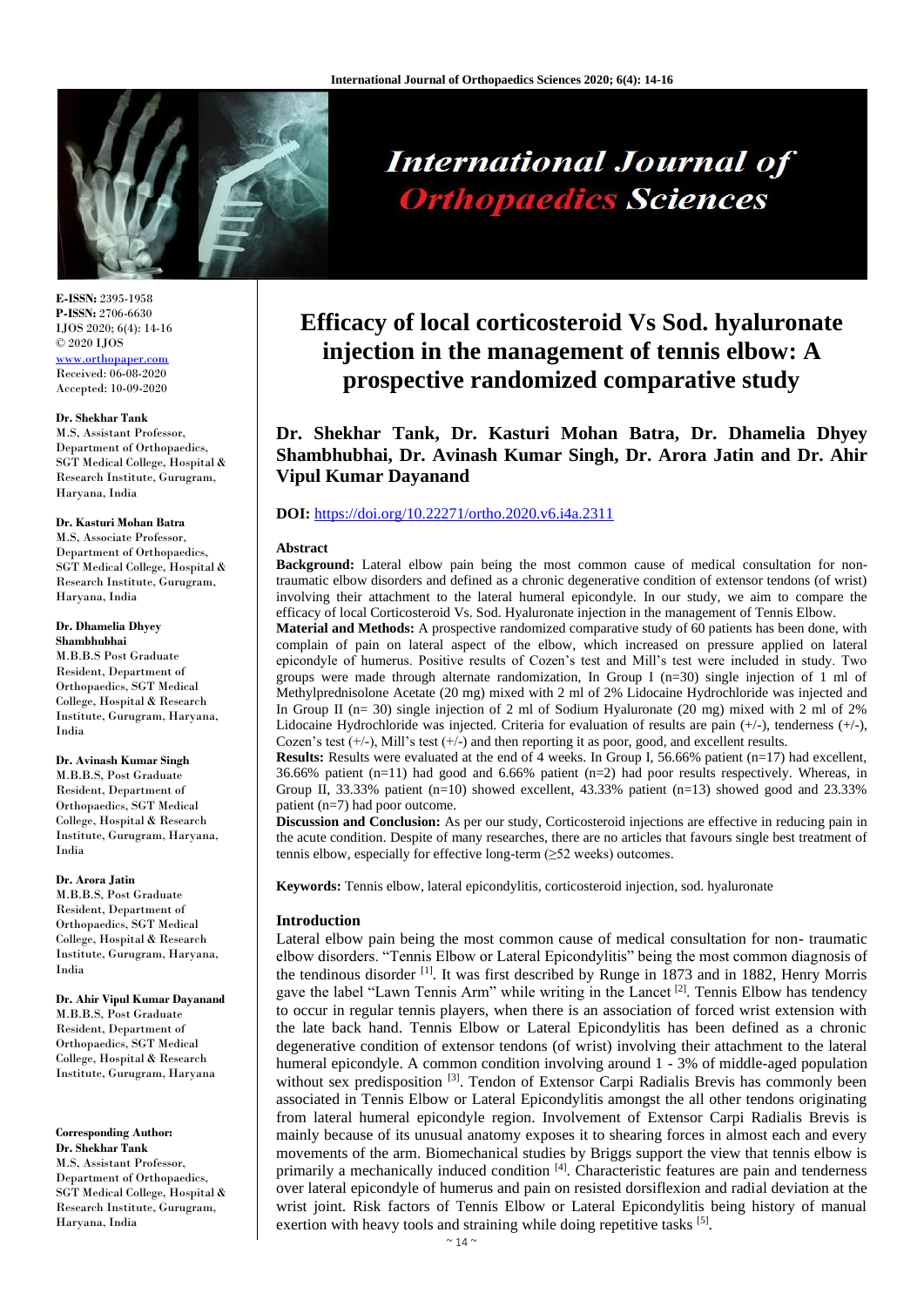

**E-ISSN:** 2395-1958 **P-ISSN:** 2706-6630 IJOS 2020; 6(4): 14-16 © 2020 IJOS [www.orthopaper.com](http://www.orthopaper.com/) Received: 06-08-2020 Accepted: 10-09-2020

#### **Dr. Shekhar Tank**

M.S, Assistant Professor, Department of Orthopaedics, SGT Medical College, Hospital & Research Institute, Gurugram, Haryana, India

#### **Dr. Kasturi Mohan Batra**

M.S, Associate Professor, Department of Orthopaedics, SGT Medical College, Hospital & Research Institute, Gurugram, Haryana, India

# **Dr. Dhamelia Dhyey**

**Shambhubhai** M.B.B.S Post Graduate Resident, Department of Orthopaedics, SGT Medical College, Hospital & Research Institute, Gurugram, Haryana, India

# **Dr. Avinash Kumar Singh**

M.B.B.S, Post Graduate Resident, Department of Orthopaedics, SGT Medical College, Hospital & Research Institute, Gurugram, Haryana, India

#### **Dr. Arora Jatin**

M.B.B.S, Post Graduate Resident, Department of Orthopaedics, SGT Medical College, Hospital & Research Institute, Gurugram, Haryana, India

#### **Dr. Ahir Vipul Kumar Dayanand**

M.B.B.S, Post Graduate Resident, Department of Orthopaedics, SGT Medical College, Hospital & Research Institute, Gurugram, Haryana

# **Corresponding Author:**

**Dr. Shekhar Tank**  M.S, Assistant Professor, Department of Orthopaedics, SGT Medical College, Hospital & Research Institute, Gurugram, Haryana, India

# **International Journal of Orthopaedics Sciences**

# **Efficacy of local corticosteroid Vs Sod. hyaluronate injection in the management of tennis elbow: A prospective randomized comparative study**

**Dr. Shekhar Tank, Dr. Kasturi Mohan Batra, Dr. Dhamelia Dhyey Shambhubhai, Dr. Avinash Kumar Singh, Dr. Arora Jatin and Dr. Ahir Vipul Kumar Dayanand**

# **DOI:** <https://doi.org/10.22271/ortho.2020.v6.i4a.2311>

#### **Abstract**

**Background:** Lateral elbow pain being the most common cause of medical consultation for nontraumatic elbow disorders and defined as a chronic degenerative condition of extensor tendons (of wrist) involving their attachment to the lateral humeral epicondyle. In our study, we aim to compare the efficacy of local Corticosteroid Vs. Sod. Hyaluronate injection in the management of Tennis Elbow.

**Material and Methods:** A prospective randomized comparative study of 60 patients has been done, with complain of pain on lateral aspect of the elbow, which increased on pressure applied on lateral epicondyle of humerus. Positive results of Cozen's test and Mill's test were included in study. Two groups were made through alternate randomization, In Group I (n=30) single injection of 1 ml of Methylprednisolone Acetate (20 mg) mixed with 2 ml of 2% Lidocaine Hydrochloride was injected and In Group II ( $n= 30$ ) single injection of 2 ml of Sodium Hyaluronate (20 mg) mixed with 2 ml of 2% Lidocaine Hydrochloride was injected. Criteria for evaluation of results are pain  $(+/-)$ , tenderness  $(+/-)$ , Cozen's test  $(+/-)$ , Mill's test  $(+/-)$  and then reporting it as poor, good, and excellent results.

**Results:** Results were evaluated at the end of 4 weeks. In Group I, 56.66% patient (n=17) had excellent, 36.66% patient (n=11) had good and 6.66% patient (n=2) had poor results respectively. Whereas, in Group II, 33.33% patient (n=10) showed excellent, 43.33% patient (n=13) showed good and 23.33% patient (n=7) had poor outcome.

**Discussion and Conclusion:** As per our study, Corticosteroid injections are effective in reducing pain in the acute condition. Despite of many researches, there are no articles that favours single best treatment of tennis elbow, especially for effective long-term (≥52 weeks) outcomes.

**Keywords:** Tennis elbow, lateral epicondylitis, corticosteroid injection, sod. hyaluronate

# **Introduction**

Lateral elbow pain being the most common cause of medical consultation for non- traumatic elbow disorders. "Tennis Elbow or Lateral Epicondylitis" being the most common diagnosis of the tendinous disorder [1] . It was first described by Runge in 1873 and in 1882, Henry Morris gave the label "Lawn Tennis Arm" while writing in the Lancet<sup>[2]</sup>. Tennis Elbow has tendency to occur in regular tennis players, when there is an association of forced wrist extension with the late back hand. Tennis Elbow or Lateral Epicondylitis has been defined as a chronic degenerative condition of extensor tendons (of wrist) involving their attachment to the lateral humeral epicondyle. A common condition involving around 1 - 3% of middle-aged population without sex predisposition <sup>[3]</sup>. Tendon of Extensor Carpi Radialis Brevis has commonly been associated in Tennis Elbow or Lateral Epicondylitis amongst the all other tendons originating from lateral humeral epicondyle region. Involvement of Extensor Carpi Radialis Brevis is mainly because of its unusual anatomy exposes it to shearing forces in almost each and every movements of the arm. Biomechanical studies by Briggs support the view that tennis elbow is primarily a mechanically induced condition [4]. Characteristic features are pain and tenderness over lateral epicondyle of humerus and pain on resisted dorsiflexion and radial deviation at the wrist joint. Risk factors of Tennis Elbow or Lateral Epicondylitis being history of manual exertion with heavy tools and straining while doing repetitive tasks [5].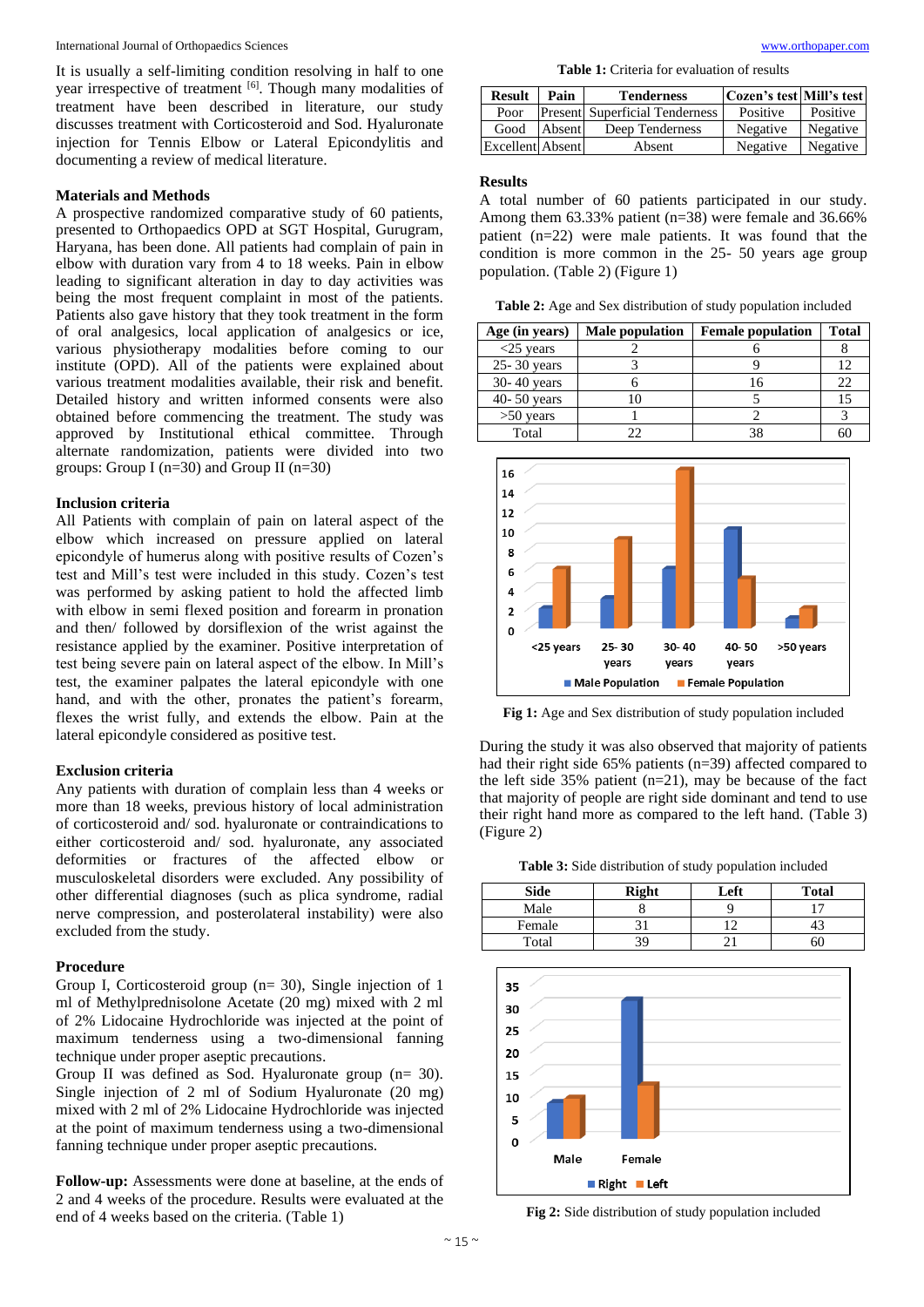It is usually a self-limiting condition resolving in half to one year irrespective of treatment [6]. Though many modalities of treatment have been described in literature, our study discusses treatment with Corticosteroid and Sod. Hyaluronate injection for Tennis Elbow or Lateral Epicondylitis and documenting a review of medical literature.

# **Materials and Methods**

A prospective randomized comparative study of 60 patients, presented to Orthopaedics OPD at SGT Hospital, Gurugram, Haryana, has been done. All patients had complain of pain in elbow with duration vary from 4 to 18 weeks. Pain in elbow leading to significant alteration in day to day activities was being the most frequent complaint in most of the patients. Patients also gave history that they took treatment in the form of oral analgesics, local application of analgesics or ice, various physiotherapy modalities before coming to our institute (OPD). All of the patients were explained about various treatment modalities available, their risk and benefit. Detailed history and written informed consents were also obtained before commencing the treatment. The study was approved by Institutional ethical committee. Through alternate randomization, patients were divided into two groups: Group I (n=30) and Group II (n=30)

#### **Inclusion criteria**

All Patients with complain of pain on lateral aspect of the elbow which increased on pressure applied on lateral epicondyle of humerus along with positive results of Cozen's test and Mill's test were included in this study. Cozen's test was performed by asking patient to hold the affected limb with elbow in semi flexed position and forearm in pronation and then/ followed by dorsiflexion of the wrist against the resistance applied by the examiner. Positive interpretation of test being severe pain on lateral aspect of the elbow. In Mill's test, the examiner palpates the lateral epicondyle with one hand, and with the other, pronates the patient's forearm, flexes the wrist fully, and extends the elbow. Pain at the lateral epicondyle considered as positive test.

#### **Exclusion criteria**

Any patients with duration of complain less than 4 weeks or more than 18 weeks, previous history of local administration of corticosteroid and/ sod. hyaluronate or contraindications to either corticosteroid and/ sod. hyaluronate, any associated deformities or fractures of the affected elbow or musculoskeletal disorders were excluded. Any possibility of other differential diagnoses (such as plica syndrome, radial nerve compression, and posterolateral instability) were also excluded from the study.

# **Procedure**

Group I, Corticosteroid group (n= 30), Single injection of 1 ml of Methylprednisolone Acetate (20 mg) mixed with 2 ml of 2% Lidocaine Hydrochloride was injected at the point of maximum tenderness using a two-dimensional fanning technique under proper aseptic precautions.

Group II was defined as Sod. Hyaluronate group (n= 30). Single injection of 2 ml of Sodium Hyaluronate (20 mg) mixed with 2 ml of 2% Lidocaine Hydrochloride was injected at the point of maximum tenderness using a two-dimensional fanning technique under proper aseptic precautions.

**Follow-up:** Assessments were done at baseline, at the ends of 2 and 4 weeks of the procedure. Results were evaluated at the end of 4 weeks based on the criteria. (Table 1)

**Table 1:** Criteria for evaluation of results

| <b>Result</b>    | Pain   | <b>Tenderness</b>                     | Cozen's test Mill's test |          |
|------------------|--------|---------------------------------------|--------------------------|----------|
| Poor             |        | <b>Present</b> Superficial Tenderness | Positive                 | Positive |
| Good             | Absent | Deep Tenderness                       | Negative                 | Negative |
| Excellent Absent |        | Absent                                | Negative                 | Negative |

#### **Results**

A total number of 60 patients participated in our study. Among them  $63.33\%$  patient (n=38) were female and 36.66% patient (n=22) were male patients. It was found that the condition is more common in the 25- 50 years age group population. (Table 2) (Figure 1)

**Table 2:** Age and Sex distribution of study population included

| Age (in years)  | <b>Male population</b> | <b>Female population</b> | <b>Total</b> |
|-----------------|------------------------|--------------------------|--------------|
| $<$ 25 years    |                        |                          |              |
| 25-30 years     |                        |                          | 12           |
| 30-40 years     |                        |                          | 22           |
| $40 - 50$ years |                        |                          | 15           |
| $>50$ years     |                        |                          |              |
| Total           | າາ                     |                          |              |



**Fig 1:** Age and Sex distribution of study population included

During the study it was also observed that majority of patients had their right side 65% patients (n=39) affected compared to the left side  $35\%$  patient (n=21), may be because of the fact that majority of people are right side dominant and tend to use their right hand more as compared to the left hand. (Table 3) (Figure 2)

**Table 3:** Side distribution of study population included

| <b>Side</b> | <b>Right</b> | Left | <b>Total</b> |
|-------------|--------------|------|--------------|
| Male        |              |      |              |
| Female      |              |      |              |
| Total       |              |      | эU           |



**Fig 2:** Side distribution of study population included